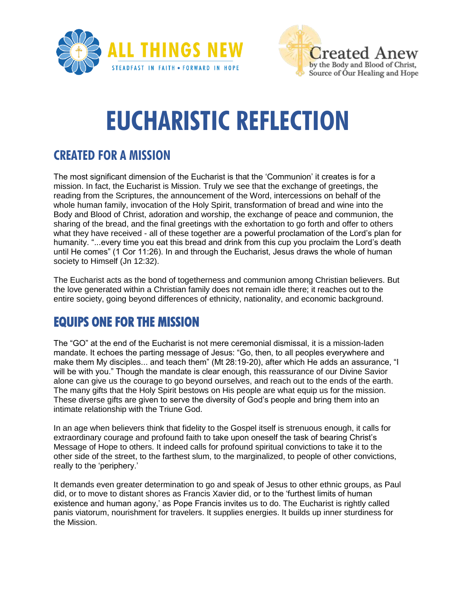



# **EUCHARISTIC REFLECTION**

#### **CREATED FOR A MISSION**

The most significant dimension of the Eucharist is that the 'Communion' it creates is for a mission. In fact, the Eucharist is Mission. Truly we see that the exchange of greetings, the reading from the Scriptures, the announcement of the Word, intercessions on behalf of the whole human family, invocation of the Holy Spirit, transformation of bread and wine into the Body and Blood of Christ, adoration and worship, the exchange of peace and communion, the sharing of the bread, and the final greetings with the exhortation to go forth and offer to others what they have received - all of these together are a powerful proclamation of the Lord's plan for humanity. "...every time you eat this bread and drink from this cup you proclaim the Lord's death until He comes" (1 Cor 11:26). In and through the Eucharist, Jesus draws the whole of human society to Himself (Jn 12:32).

The Eucharist acts as the bond of togetherness and communion among Christian believers. But the love generated within a Christian family does not remain idle there; it reaches out to the entire society, going beyond differences of ethnicity, nationality, and economic background.

## **EQUIPS ONE FOR THE MISSION**

The "GO" at the end of the Eucharist is not mere ceremonial dismissal, it is a mission-laden mandate. It echoes the parting message of Jesus: "Go, then, to all peoples everywhere and make them My disciples... and teach them" (Mt 28:19-20), after which He adds an assurance, "I will be with you." Though the mandate is clear enough, this reassurance of our Divine Savior alone can give us the courage to go beyond ourselves, and reach out to the ends of the earth. The many gifts that the Holy Spirit bestows on His people are what equip us for the mission. These diverse gifts are given to serve the diversity of God's people and bring them into an intimate relationship with the Triune God.

In an age when believers think that fidelity to the Gospel itself is strenuous enough, it calls for extraordinary courage and profound faith to take upon oneself the task of bearing Christ's Message of Hope to others. It indeed calls for profound spiritual convictions to take it to the other side of the street, to the farthest slum, to the marginalized, to people of other convictions, really to the 'periphery.'

It demands even greater determination to go and speak of Jesus to other ethnic groups, as Paul did, or to move to distant shores as Francis Xavier did, or to the 'furthest limits of human existence and human agony,' as Pope Francis invites us to do. The Eucharist is rightly called panis viatorum, nourishment for travelers. It supplies energies. It builds up inner sturdiness for the Mission.